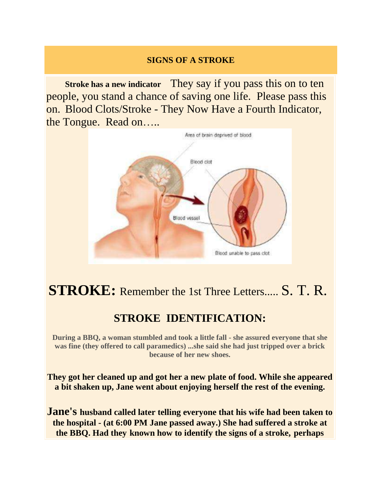### **SIGNS OF A STROKE**

 **Stroke has a new indicator** They say if you pass this on to ten people, you stand a chance of saving one life. Please pass this on. Blood Clots/Stroke - They Now Have a Fourth Indicator, the Tongue. Read on…..



## **STROKE:** Remember the 1st Three Letters..... S. T. R.

## **STROKE IDENTIFICATION:**

**During a BBQ, a woman stumbled and took a little fall - she assured everyone that she was fine (they offered to call paramedics) ...she said she had just tripped over a brick because of her new shoes.**

**They got her cleaned up and got her a new plate of food. While she appeared a bit shaken up, Jane went about enjoying herself the rest of the evening.**

**Jane's husband called later telling everyone that his wife had been taken to the hospital - (at 6:00 PM Jane passed away.) She had suffered a stroke at the BBQ. Had they known how to identify the signs of a stroke, perhaps**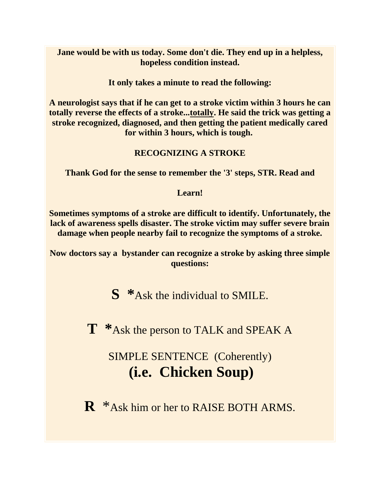**Jane would be with us today. Some don't die. They end up in a helpless, hopeless condition instead.**

**It only takes a minute to read the following:**

**A neurologist says that if he can get to a stroke victim within 3 hours he can totally reverse the effects of a stroke...totally. He said the trick was getting a stroke recognized, diagnosed, and then getting the patient medically cared for within 3 hours, which is tough.**

#### **RECOGNIZING A STROKE**

**Thank God for the sense to remember the '3' steps, STR. Read and**

**Learn!**

**Sometimes symptoms of a stroke are difficult to identify. Unfortunately, the lack of awareness spells disaster. The stroke victim may suffer severe brain damage when people nearby fail to recognize the symptoms of a stroke.**

**Now doctors say a bystander can recognize a stroke by asking three simple questions:**

**S \***Ask the individual to SMILE.

**T \***Ask the person to TALK and SPEAK A

SIMPLE SENTENCE (Coherently) **(i.e. Chicken Soup)**

**R** \*Ask him or her to RAISE BOTH ARMS.